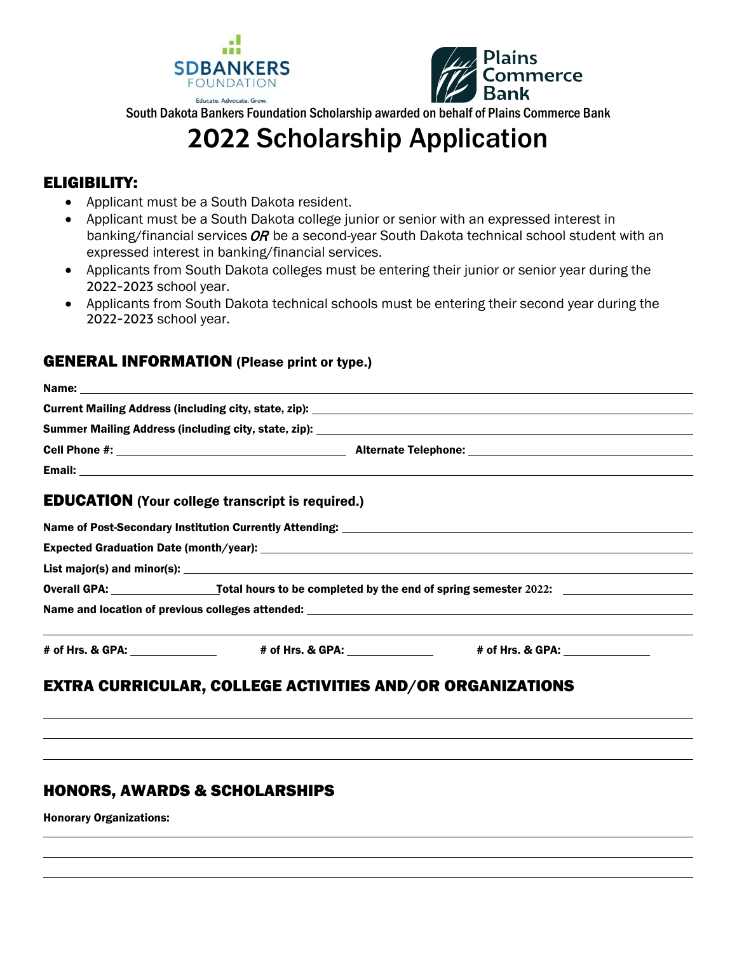



South Dakota Bankers Foundation Scholarship awarded on behalf of Plains Commerce Bank

# **2022** Scholarship Application

## ELIGIBILITY:

- Applicant must be a South Dakota resident.
- Applicant must be a South Dakota college junior or senior with an expressed interest in banking/financial services  $OR$  be a second-year South Dakota technical school student with an expressed interest in banking/financial services.
- Applicants from South Dakota colleges must be entering their junior or senior year during the 2022-2023 school year.
- Applicants from South Dakota technical schools must be entering their second year during the 2022-2023 school year.

### GENERAL INFORMATION (Please print or type.)

| <b>EDUCATION</b> (Your college transcript is required.) |                                                                                                          |  |
|---------------------------------------------------------|----------------------------------------------------------------------------------------------------------|--|
|                                                         |                                                                                                          |  |
|                                                         |                                                                                                          |  |
|                                                         |                                                                                                          |  |
|                                                         |                                                                                                          |  |
|                                                         |                                                                                                          |  |
|                                                         | # of Hrs. & GPA: _________________    # of Hrs. & GPA: ______________    # of Hrs. & GPA: ______________ |  |
|                                                         | <b>EXTRA CURRICULAR, COLLEGE ACTIVITIES AND/OR ORGANIZATIONS</b>                                         |  |
|                                                         |                                                                                                          |  |

## HONORS, AWARDS & SCHOLARSHIPS

Honorary Organizations: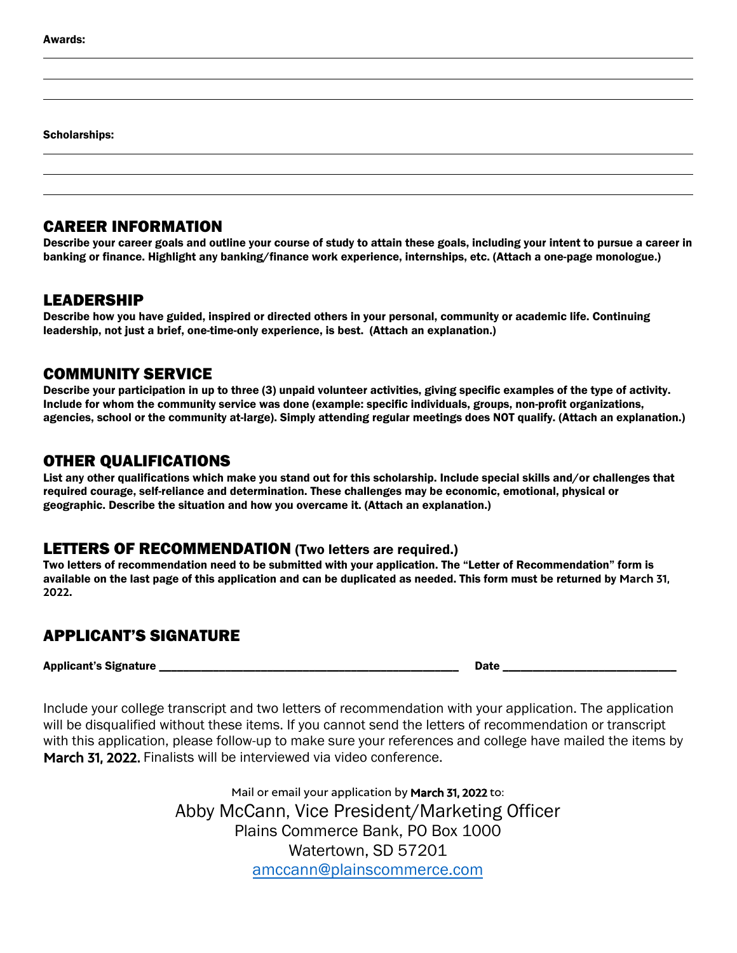Scholarships:

## CAREER INFORMATION

Describe your career goals and outline your course of study to attain these goals, including your intent to pursue a career in banking or finance. Highlight any banking/finance work experience, internships, etc. (Attach a one-page monologue.)

#### LEADERSHIP

Describe how you have guided, inspired or directed others in your personal, community or academic life. Continuing leadership, not just a brief, one-time-only experience, is best. (Attach an explanation.)

#### COMMUNITY SERVICE

Describe your participation in up to three (3) unpaid volunteer activities, giving specific examples of the type of activity. Include for whom the community service was done (example: specific individuals, groups, non-profit organizations, agencies, school or the community at-large). Simply attending regular meetings does NOT qualify. (Attach an explanation.)

#### OTHER QUALIFICATIONS

List any other qualifications which make you stand out for this scholarship. Include special skills and/or challenges that required courage, self-reliance and determination. These challenges may be economic, emotional, physical or geographic. Describe the situation and how you overcame it. (Attach an explanation.)

### LETTERS OF RECOMMENDATION (Two letters are required.)

Two letters of recommendation need to be submitted with your application. The "Letter of Recommendation" form is available on the last page of this application and can be duplicated as needed. This form must be returned by **March 31, 2022**.

## APPLICANT'S SIGNATURE

Applicant's Signature \_\_\_\_\_\_\_\_\_\_\_\_\_\_\_\_\_\_\_\_\_\_\_\_\_\_\_\_\_\_\_\_\_\_\_\_\_\_\_\_\_\_\_\_\_\_\_\_\_\_ Date \_\_\_\_\_\_\_\_\_\_\_\_\_\_\_\_\_\_\_\_\_\_\_\_\_\_\_\_\_

Include your college transcript and two letters of recommendation with your application. The application will be disqualified without these items. If you cannot send the letters of recommendation or transcript with this application, please follow-up to make sure your references and college have mailed the items by March 31, 2022. Finalists will be interviewed via video conference.

> Mail or email your application by March 31, 2022 to: Abby McCann, Vice President/Marketing Officer Plains Commerce Bank, PO Box 1000 Watertown, SD 57201 [amccann@plainscommerce.com](mailto:amccann@plainscommerce.com)